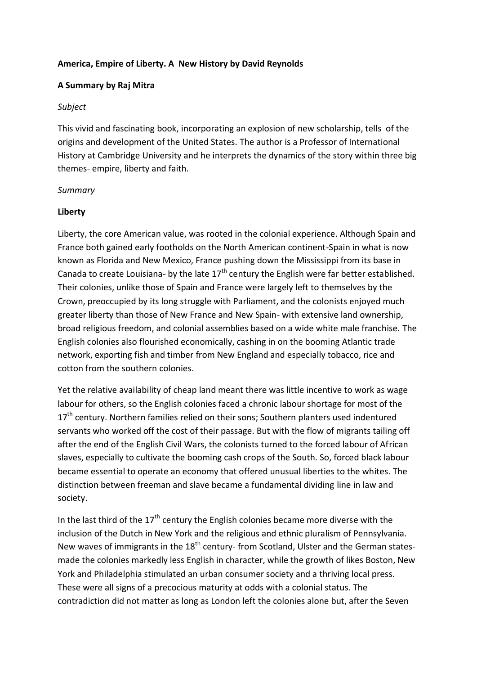# **America, Empire of Liberty. A New History by David Reynolds**

## **A Summary by Raj Mitra**

### *Subject*

This vivid and fascinating book, incorporating an explosion of new scholarship, tells of the origins and development of the United States. The author is a Professor of International History at Cambridge University and he interprets the dynamics of the story within three big themes- empire, liberty and faith.

## *Summary*

## **Liberty**

Liberty, the core American value, was rooted in the colonial experience. Although Spain and France both gained early footholds on the North American continent-Spain in what is now known as Florida and New Mexico, France pushing down the Mississippi from its base in Canada to create Louisiana- by the late  $17<sup>th</sup>$  century the English were far better established. Their colonies, unlike those of Spain and France were largely left to themselves by the Crown, preoccupied by its long struggle with Parliament, and the colonists enjoyed much greater liberty than those of New France and New Spain- with extensive land ownership, broad religious freedom, and colonial assemblies based on a wide white male franchise. The English colonies also flourished economically, cashing in on the booming Atlantic trade network, exporting fish and timber from New England and especially tobacco, rice and cotton from the southern colonies.

Yet the relative availability of cheap land meant there was little incentive to work as wage labour for others, so the English colonies faced a chronic labour shortage for most of the  $17<sup>th</sup>$  century. Northern families relied on their sons: Southern planters used indentured servants who worked off the cost of their passage. But with the flow of migrants tailing off after the end of the English Civil Wars, the colonists turned to the forced labour of African slaves, especially to cultivate the booming cash crops of the South. So, forced black labour became essential to operate an economy that offered unusual liberties to the whites. The distinction between freeman and slave became a fundamental dividing line in law and society.

In the last third of the  $17<sup>th</sup>$  century the English colonies became more diverse with the inclusion of the Dutch in New York and the religious and ethnic pluralism of Pennsylvania. New waves of immigrants in the  $18<sup>th</sup>$  century- from Scotland, Ulster and the German statesmade the colonies markedly less English in character, while the growth of likes Boston, New York and Philadelphia stimulated an urban consumer society and a thriving local press. These were all signs of a precocious maturity at odds with a colonial status. The contradiction did not matter as long as London left the colonies alone but, after the Seven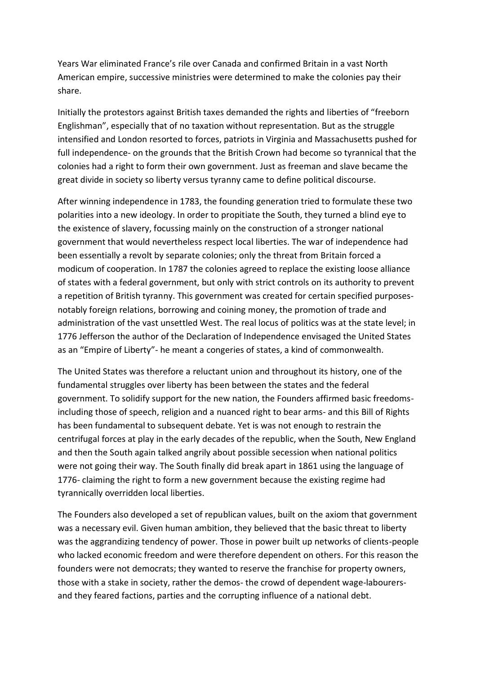Years War eliminated France's rile over Canada and confirmed Britain in a vast North American empire, successive ministries were determined to make the colonies pay their share.

Initially the protestors against British taxes demanded the rights and liberties of "freeborn Englishman", especially that of no taxation without representation. But as the struggle intensified and London resorted to forces, patriots in Virginia and Massachusetts pushed for full independence- on the grounds that the British Crown had become so tyrannical that the colonies had a right to form their own government. Just as freeman and slave became the great divide in society so liberty versus tyranny came to define political discourse.

After winning independence in 1783, the founding generation tried to formulate these two polarities into a new ideology. In order to propitiate the South, they turned a blind eye to the existence of slavery, focussing mainly on the construction of a stronger national government that would nevertheless respect local liberties. The war of independence had been essentially a revolt by separate colonies; only the threat from Britain forced a modicum of cooperation. In 1787 the colonies agreed to replace the existing loose alliance of states with a federal government, but only with strict controls on its authority to prevent a repetition of British tyranny. This government was created for certain specified purposesnotably foreign relations, borrowing and coining money, the promotion of trade and administration of the vast unsettled West. The real locus of politics was at the state level; in 1776 Jefferson the author of the Declaration of Independence envisaged the United States as an "Empire of Liberty"- he meant a congeries of states, a kind of commonwealth.

The United States was therefore a reluctant union and throughout its history, one of the fundamental struggles over liberty has been between the states and the federal government. To solidify support for the new nation, the Founders affirmed basic freedomsincluding those of speech, religion and a nuanced right to bear arms- and this Bill of Rights has been fundamental to subsequent debate. Yet is was not enough to restrain the centrifugal forces at play in the early decades of the republic, when the South, New England and then the South again talked angrily about possible secession when national politics were not going their way. The South finally did break apart in 1861 using the language of 1776- claiming the right to form a new government because the existing regime had tyrannically overridden local liberties.

The Founders also developed a set of republican values, built on the axiom that government was a necessary evil. Given human ambition, they believed that the basic threat to liberty was the aggrandizing tendency of power. Those in power built up networks of clients-people who lacked economic freedom and were therefore dependent on others. For this reason the founders were not democrats; they wanted to reserve the franchise for property owners, those with a stake in society, rather the demos- the crowd of dependent wage-labourersand they feared factions, parties and the corrupting influence of a national debt.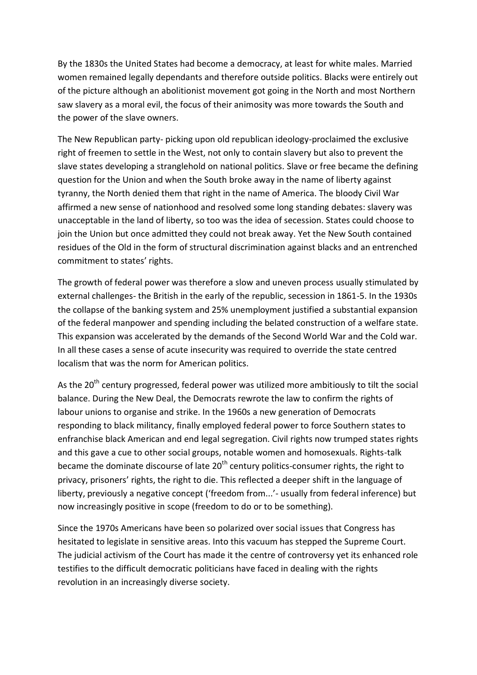By the 1830s the United States had become a democracy, at least for white males. Married women remained legally dependants and therefore outside politics. Blacks were entirely out of the picture although an abolitionist movement got going in the North and most Northern saw slavery as a moral evil, the focus of their animosity was more towards the South and the power of the slave owners.

The New Republican party- picking upon old republican ideology-proclaimed the exclusive right of freemen to settle in the West, not only to contain slavery but also to prevent the slave states developing a stranglehold on national politics. Slave or free became the defining question for the Union and when the South broke away in the name of liberty against tyranny, the North denied them that right in the name of America. The bloody Civil War affirmed a new sense of nationhood and resolved some long standing debates: slavery was unacceptable in the land of liberty, so too was the idea of secession. States could choose to join the Union but once admitted they could not break away. Yet the New South contained residues of the Old in the form of structural discrimination against blacks and an entrenched commitment to states' rights.

The growth of federal power was therefore a slow and uneven process usually stimulated by external challenges- the British in the early of the republic, secession in 1861-5. In the 1930s the collapse of the banking system and 25% unemployment justified a substantial expansion of the federal manpower and spending including the belated construction of a welfare state. This expansion was accelerated by the demands of the Second World War and the Cold war. In all these cases a sense of acute insecurity was required to override the state centred localism that was the norm for American politics.

As the 20<sup>th</sup> century progressed, federal power was utilized more ambitiously to tilt the social balance. During the New Deal, the Democrats rewrote the law to confirm the rights of labour unions to organise and strike. In the 1960s a new generation of Democrats responding to black militancy, finally employed federal power to force Southern states to enfranchise black American and end legal segregation. Civil rights now trumped states rights and this gave a cue to other social groups, notable women and homosexuals. Rights-talk became the dominate discourse of late 20<sup>th</sup> century politics-consumer rights, the right to privacy, prisoners' rights, the right to die. This reflected a deeper shift in the language of liberty, previously a negative concept ('freedom from...'- usually from federal inference) but now increasingly positive in scope (freedom to do or to be something).

Since the 1970s Americans have been so polarized over social issues that Congress has hesitated to legislate in sensitive areas. Into this vacuum has stepped the Supreme Court. The judicial activism of the Court has made it the centre of controversy yet its enhanced role testifies to the difficult democratic politicians have faced in dealing with the rights revolution in an increasingly diverse society.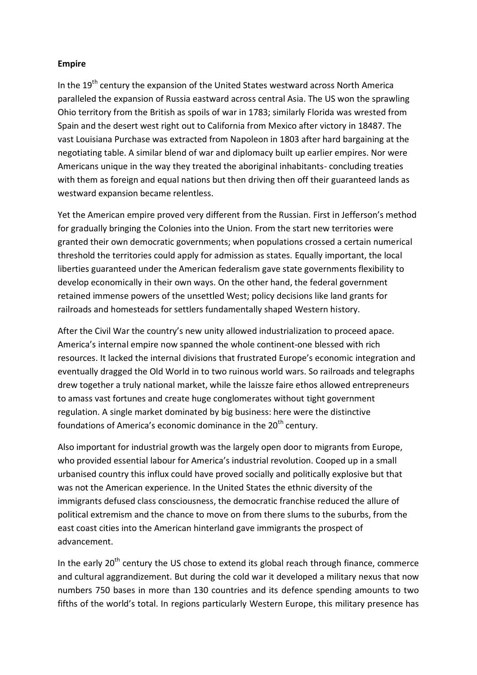### **Empire**

In the 19<sup>th</sup> century the expansion of the United States westward across North America paralleled the expansion of Russia eastward across central Asia. The US won the sprawling Ohio territory from the British as spoils of war in 1783; similarly Florida was wrested from Spain and the desert west right out to California from Mexico after victory in 18487. The vast Louisiana Purchase was extracted from Napoleon in 1803 after hard bargaining at the negotiating table. A similar blend of war and diplomacy built up earlier empires. Nor were Americans unique in the way they treated the aboriginal inhabitants- concluding treaties with them as foreign and equal nations but then driving then off their guaranteed lands as westward expansion became relentless.

Yet the American empire proved very different from the Russian. First in Jefferson's method for gradually bringing the Colonies into the Union. From the start new territories were granted their own democratic governments; when populations crossed a certain numerical threshold the territories could apply for admission as states. Equally important, the local liberties guaranteed under the American federalism gave state governments flexibility to develop economically in their own ways. On the other hand, the federal government retained immense powers of the unsettled West; policy decisions like land grants for railroads and homesteads for settlers fundamentally shaped Western history.

After the Civil War the country's new unity allowed industrialization to proceed apace. America's internal empire now spanned the whole continent-one blessed with rich resources. It lacked the internal divisions that frustrated Europe's economic integration and eventually dragged the Old World in to two ruinous world wars. So railroads and telegraphs drew together a truly national market, while the laissze faire ethos allowed entrepreneurs to amass vast fortunes and create huge conglomerates without tight government regulation. A single market dominated by big business: here were the distinctive foundations of America's economic dominance in the 20<sup>th</sup> century.

Also important for industrial growth was the largely open door to migrants from Europe, who provided essential labour for America's industrial revolution. Cooped up in a small urbanised country this influx could have proved socially and politically explosive but that was not the American experience. In the United States the ethnic diversity of the immigrants defused class consciousness, the democratic franchise reduced the allure of political extremism and the chance to move on from there slums to the suburbs, from the east coast cities into the American hinterland gave immigrants the prospect of advancement.

In the early  $20<sup>th</sup>$  century the US chose to extend its global reach through finance, commerce and cultural aggrandizement. But during the cold war it developed a military nexus that now numbers 750 bases in more than 130 countries and its defence spending amounts to two fifths of the world's total. In regions particularly Western Europe, this military presence has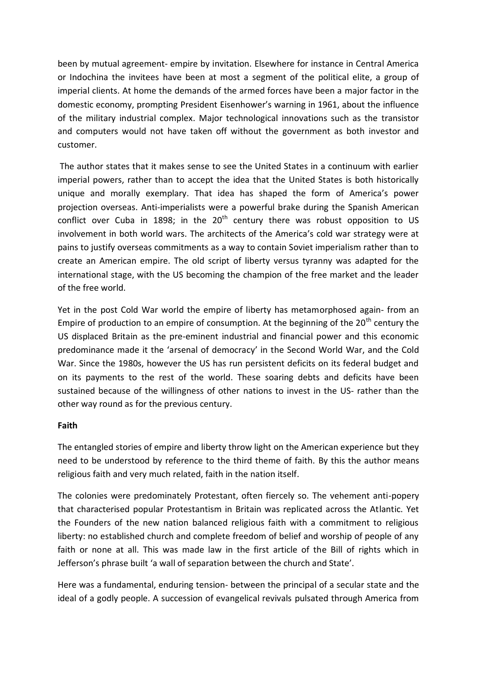been by mutual agreement- empire by invitation. Elsewhere for instance in Central America or Indochina the invitees have been at most a segment of the political elite, a group of imperial clients. At home the demands of the armed forces have been a major factor in the domestic economy, prompting President Eisenhower's warning in 1961, about the influence of the military industrial complex. Major technological innovations such as the transistor and computers would not have taken off without the government as both investor and customer.

The author states that it makes sense to see the United States in a continuum with earlier imperial powers, rather than to accept the idea that the United States is both historically unique and morally exemplary. That idea has shaped the form of America's power projection overseas. Anti-imperialists were a powerful brake during the Spanish American conflict over Cuba in 1898; in the  $20<sup>th</sup>$  century there was robust opposition to US involvement in both world wars. The architects of the America's cold war strategy were at pains to justify overseas commitments as a way to contain Soviet imperialism rather than to create an American empire. The old script of liberty versus tyranny was adapted for the international stage, with the US becoming the champion of the free market and the leader of the free world.

Yet in the post Cold War world the empire of liberty has metamorphosed again- from an Empire of production to an empire of consumption. At the beginning of the  $20<sup>th</sup>$  century the US displaced Britain as the pre-eminent industrial and financial power and this economic predominance made it the 'arsenal of democracy' in the Second World War, and the Cold War. Since the 1980s, however the US has run persistent deficits on its federal budget and on its payments to the rest of the world. These soaring debts and deficits have been sustained because of the willingness of other nations to invest in the US- rather than the other way round as for the previous century.

#### **Faith**

The entangled stories of empire and liberty throw light on the American experience but they need to be understood by reference to the third theme of faith. By this the author means religious faith and very much related, faith in the nation itself.

The colonies were predominately Protestant, often fiercely so. The vehement anti-popery that characterised popular Protestantism in Britain was replicated across the Atlantic. Yet the Founders of the new nation balanced religious faith with a commitment to religious liberty: no established church and complete freedom of belief and worship of people of any faith or none at all. This was made law in the first article of the Bill of rights which in Jefferson's phrase built 'a wall of separation between the church and State'.

Here was a fundamental, enduring tension- between the principal of a secular state and the ideal of a godly people. A succession of evangelical revivals pulsated through America from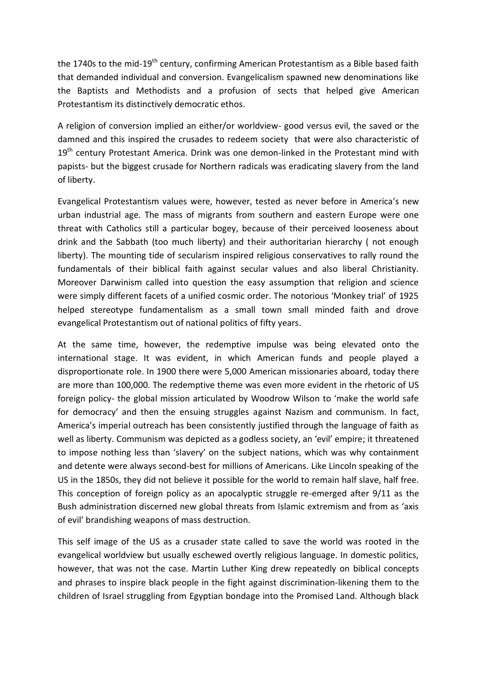the 1740s to the mid-19<sup>th</sup> century, confirming American Protestantism as a Bible based faith that demanded individual and conversion. Evangelicalism spawned new denominations like the Baptists and Methodists and a profusion of sects that helped give American Protestantism its distinctively democratic ethos.

A religion of conversion implied an either/or worldview- good versus evil, the saved or the damned and this inspired the crusades to redeem society that were also characteristic of 19<sup>th</sup> century Protestant America. Drink was one demon-linked in the Protestant mind with papists- but the biggest crusade for Northern radicals was eradicating slavery from the land of liberty.

Evangelical Protestantism values were, however, tested as never before in America's new urban industrial age. The mass of migrants from southern and eastern Europe were one threat with Catholics still a particular bogey, because of their perceived looseness about drink and the Sabbath (too much liberty) and their authoritarian hierarchy ( not enough liberty). The mounting tide of secularism inspired religious conservatives to rally round the fundamentals of their biblical faith against secular values and also liberal Christianity. Moreover Darwinism called into question the easy assumption that religion and science were simply different facets of a unified cosmic order. The notorious 'Monkey trial' of 1925 helped stereotype fundamentalism as a small town small minded faith and drove evangelical Protestantism out of national politics of fifty years.

At the same time, however, the redemptive impulse was being elevated onto the international stage. It was evident, in which American funds and people played a disproportionate role. In 1900 there were 5,000 American missionaries aboard, today there are more than 100,000. The redemptive theme was even more evident in the rhetoric of US foreign policy- the global mission articulated by Woodrow Wilson to 'make the world safe for democracy' and then the ensuing struggles against Nazism and communism. In fact, America's imperial outreach has been consistently justified through the language of faith as well as liberty. Communism was depicted as a godless society, an 'evil' empire; it threatened to impose nothing less than 'slavery' on the subject nations, which was why containment and detente were always second-best for millions of Americans. Like Lincoln speaking of the US in the 1850s, they did not believe it possible for the world to remain half slave, half free. This conception of foreign policy as an apocalyptic struggle re-emerged after 9/11 as the Bush administration discerned new global threats from Islamic extremism and from as 'axis of evil' brandishing weapons of mass destruction.

This self image of the US as a crusader state called to save the world was rooted in the evangelical worldview but usually eschewed overtly religious language. In domestic politics, however, that was not the case. Martin Luther King drew repeatedly on biblical concepts and phrases to inspire black people in the fight against discrimination-likening them to the children of Israel struggling from Egyptian bondage into the Promised Land. Although black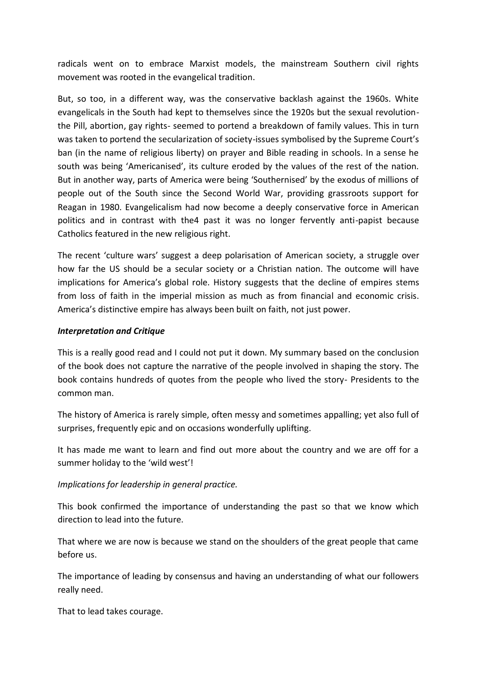radicals went on to embrace Marxist models, the mainstream Southern civil rights movement was rooted in the evangelical tradition.

But, so too, in a different way, was the conservative backlash against the 1960s. White evangelicals in the South had kept to themselves since the 1920s but the sexual revolutionthe Pill, abortion, gay rights- seemed to portend a breakdown of family values. This in turn was taken to portend the secularization of society-issues symbolised by the Supreme Court's ban (in the name of religious liberty) on prayer and Bible reading in schools. In a sense he south was being 'Americanised', its culture eroded by the values of the rest of the nation. But in another way, parts of America were being 'Southernised' by the exodus of millions of people out of the South since the Second World War, providing grassroots support for Reagan in 1980. Evangelicalism had now become a deeply conservative force in American politics and in contrast with the4 past it was no longer fervently anti-papist because Catholics featured in the new religious right.

The recent 'culture wars' suggest a deep polarisation of American society, a struggle over how far the US should be a secular society or a Christian nation. The outcome will have implications for America's global role. History suggests that the decline of empires stems from loss of faith in the imperial mission as much as from financial and economic crisis. America's distinctive empire has always been built on faith, not just power.

### *Interpretation and Critique*

This is a really good read and I could not put it down. My summary based on the conclusion of the book does not capture the narrative of the people involved in shaping the story. The book contains hundreds of quotes from the people who lived the story- Presidents to the common man.

The history of America is rarely simple, often messy and sometimes appalling; yet also full of surprises, frequently epic and on occasions wonderfully uplifting.

It has made me want to learn and find out more about the country and we are off for a summer holiday to the 'wild west'!

*Implications for leadership in general practice.*

This book confirmed the importance of understanding the past so that we know which direction to lead into the future.

That where we are now is because we stand on the shoulders of the great people that came before us.

The importance of leading by consensus and having an understanding of what our followers really need.

That to lead takes courage.